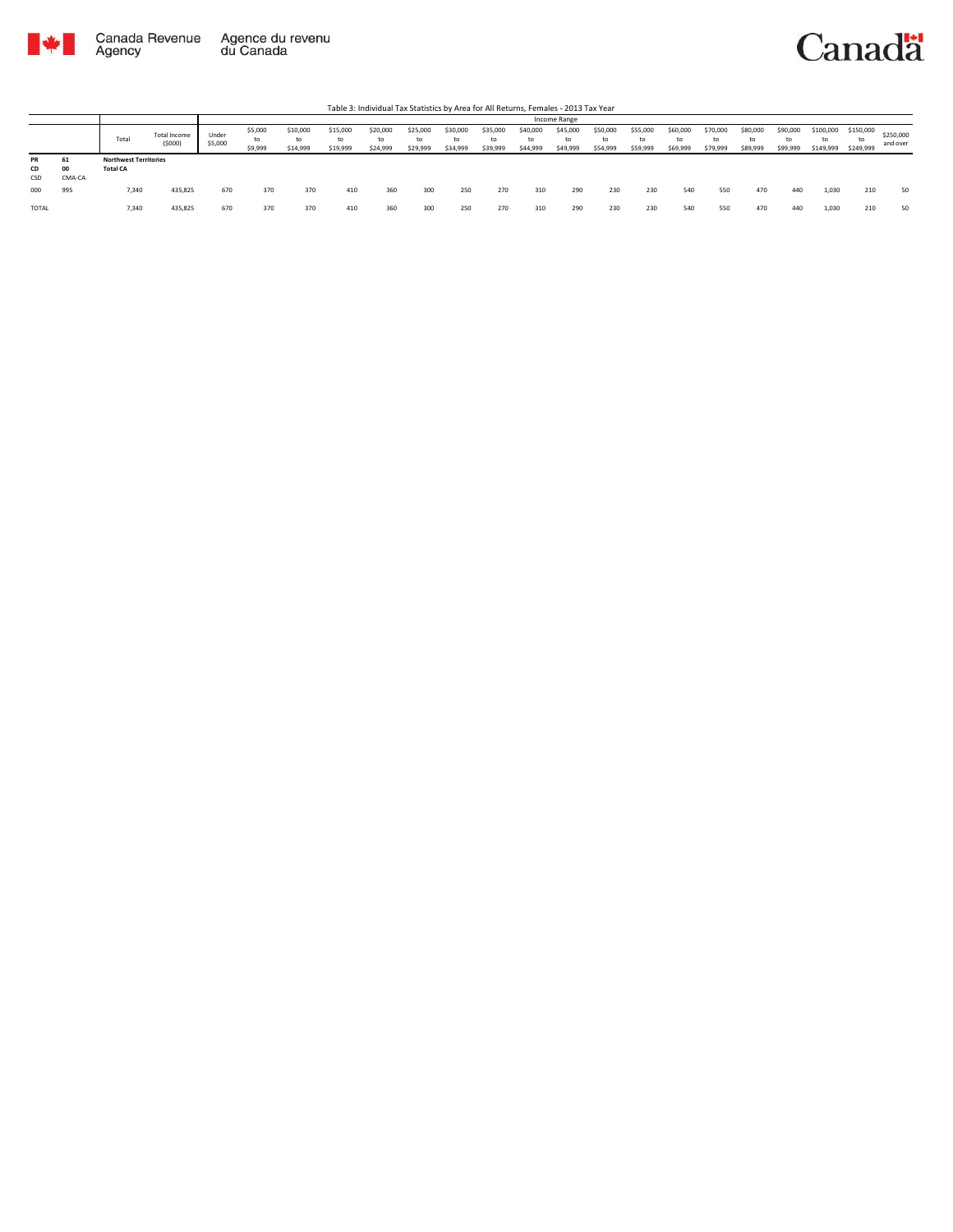



|                        |              |                                                 |                               |                  |                          |                            |                            |                            |                            |                            |                      |                            | Income Range               |                            |                            |                            |                            |                            |                            |                               |                        |                       |
|------------------------|--------------|-------------------------------------------------|-------------------------------|------------------|--------------------------|----------------------------|----------------------------|----------------------------|----------------------------|----------------------------|----------------------|----------------------------|----------------------------|----------------------------|----------------------------|----------------------------|----------------------------|----------------------------|----------------------------|-------------------------------|------------------------|-----------------------|
|                        |              | Total                                           | <b>Total Income</b><br>(5000) | Under<br>\$5,000 | \$5,000<br>to<br>\$9,999 | \$10,000<br>to<br>\$14,999 | \$15,000<br>to<br>\$19,999 | \$20,000<br>to<br>\$24,999 | \$25,000<br>to<br>\$29,999 | \$30,000<br>t٥<br>\$34,999 | \$35,000<br>\$39,999 | \$40,000<br>to<br>\$44,999 | \$45,000<br>to<br>\$49,999 | \$50,000<br>to<br>\$54,999 | \$55,000<br>to<br>\$59,999 | \$60,000<br>to<br>\$69,999 | \$70,000<br>to<br>\$79,999 | \$80,000<br>to<br>\$89,999 | \$90,000<br>to<br>\$99,999 | \$100,000<br>$+$<br>\$149,999 | \$150,000<br>\$249,999 | \$250,000<br>and over |
| <b>PR</b><br>CD<br>CSD | 00<br>CMA-CA | <b>Northwest Territories</b><br><b>Total CA</b> |                               |                  |                          |                            |                            |                            |                            |                            |                      |                            |                            |                            |                            |                            |                            |                            |                            |                               |                        |                       |
| 000                    | 995          | 7.340                                           | 435,825                       | 670              | 370                      | 370                        | 410                        | 360                        | 300                        | 250                        | 270                  | 310                        | 290                        | 230                        | 230                        | 540                        | 550                        | 470                        | 440                        | 1,030                         | 210                    | 50                    |
| <b>TOTAL</b>           |              | 7.340                                           | 435,825                       | 670              | 370                      | 370                        | 410                        | 360                        | 300                        | 250                        | 270                  | 310                        | 290                        | 230                        | 230                        | 540                        | 550                        | 470                        | 440                        | 1,030                         | 210                    | 50                    |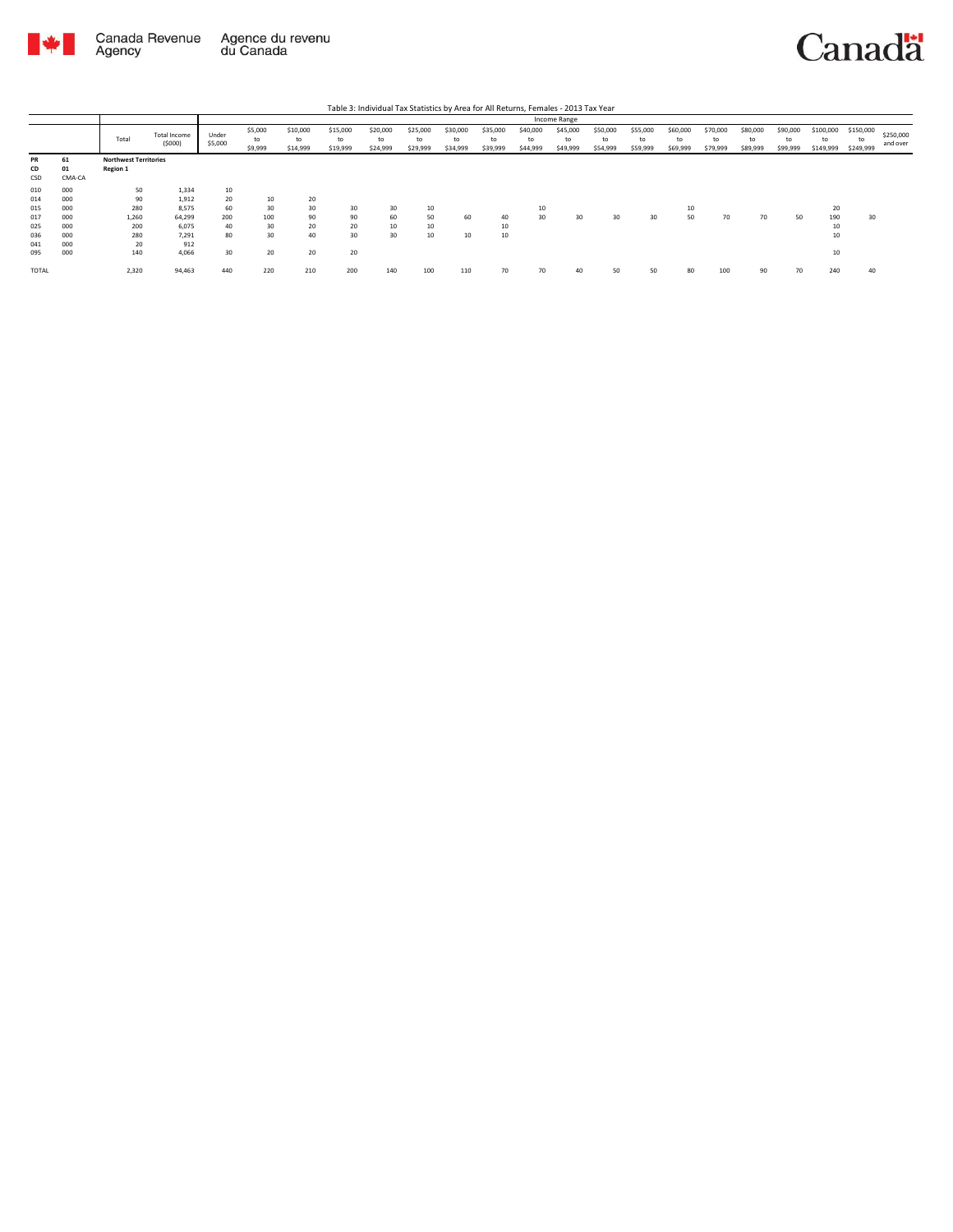

Canada Revenue Agence du revenu<br>Agency du Canada



|                   |                    |                                          |                          |                  |                          |                            |                            | Table 3: Individual Tax Statistics by Area for All Returns, Females - 2013 Tax Year |                            |                            |                            |                            |                            |                            |                            |                            |                            |                            |                            |                        |                              |                       |
|-------------------|--------------------|------------------------------------------|--------------------------|------------------|--------------------------|----------------------------|----------------------------|-------------------------------------------------------------------------------------|----------------------------|----------------------------|----------------------------|----------------------------|----------------------------|----------------------------|----------------------------|----------------------------|----------------------------|----------------------------|----------------------------|------------------------|------------------------------|-----------------------|
|                   |                    |                                          |                          |                  |                          |                            |                            |                                                                                     |                            |                            |                            |                            | Income Range               |                            |                            |                            |                            |                            |                            |                        |                              |                       |
|                   |                    | Total                                    | Total Income<br>(5000)   | Under<br>\$5,000 | \$5,000<br>to<br>\$9,999 | \$10,000<br>to<br>\$14,999 | \$15,000<br>to<br>\$19,999 | \$20,000<br>to<br>\$24,999                                                          | \$25,000<br>to<br>\$29,999 | \$30,000<br>to<br>\$34,999 | \$35,000<br>to<br>\$39,999 | \$40,000<br>to<br>\$44,999 | \$45,000<br>to<br>\$49,999 | \$50,000<br>to<br>\$54,999 | \$55,000<br>to<br>\$59,999 | \$60,000<br>to<br>\$69,999 | \$70,000<br>to<br>\$79,999 | \$80,000<br>to<br>\$89,999 | \$90,000<br>to<br>\$99,999 | \$100,000<br>\$149,999 | \$150,000<br>to<br>\$249,999 | \$250,000<br>and over |
| PR<br>CD<br>CSD   | 61<br>01<br>CMA-CA | <b>Northwest Territories</b><br>Region 1 |                          |                  |                          |                            |                            |                                                                                     |                            |                            |                            |                            |                            |                            |                            |                            |                            |                            |                            |                        |                              |                       |
| 010<br>014        | 000<br>000         | 50<br>90                                 | 1,334<br>1,912           | 10<br>20         | 10                       | 20                         |                            |                                                                                     |                            |                            |                            |                            |                            |                            |                            |                            |                            |                            |                            |                        |                              |                       |
| 015<br>017<br>025 | 000<br>000<br>000  | 280<br>1,260<br>200                      | 8.575<br>64,299<br>6.075 | 60<br>200<br>40  | 30<br>100<br>30          | 30<br>90<br>20             | 30<br>90<br>20             | 30<br>60<br>10                                                                      | 10<br>50<br>10             | 60                         | 40<br>10                   | 10<br>30                   | 30                         | 30                         | 30                         | 10<br>50                   | 70                         | 70                         | 50                         | 20<br>190<br>10        | 30                           |                       |
| 036<br>041        | 000<br>000         | 280<br>20                                | 7.291<br>912             | 80               | 30                       | 40                         | 30                         | 30                                                                                  | 10                         | 10                         | 10                         |                            |                            |                            |                            |                            |                            |                            |                            | 10                     |                              |                       |
| 095               | 000                | 140                                      | 4.066                    | 30               | 20                       | 20                         | 20                         |                                                                                     |                            |                            |                            |                            |                            |                            |                            |                            |                            |                            |                            | 10                     |                              |                       |
| TOTAL             |                    | 2,320                                    | 94,463                   | 440              | 220                      | 210                        | 200                        | 140                                                                                 | 100                        | 110                        | 70                         | 70                         | 40                         | 50                         | 50                         | 80                         | 100                        | 90                         | 70                         | 240                    | 40                           |                       |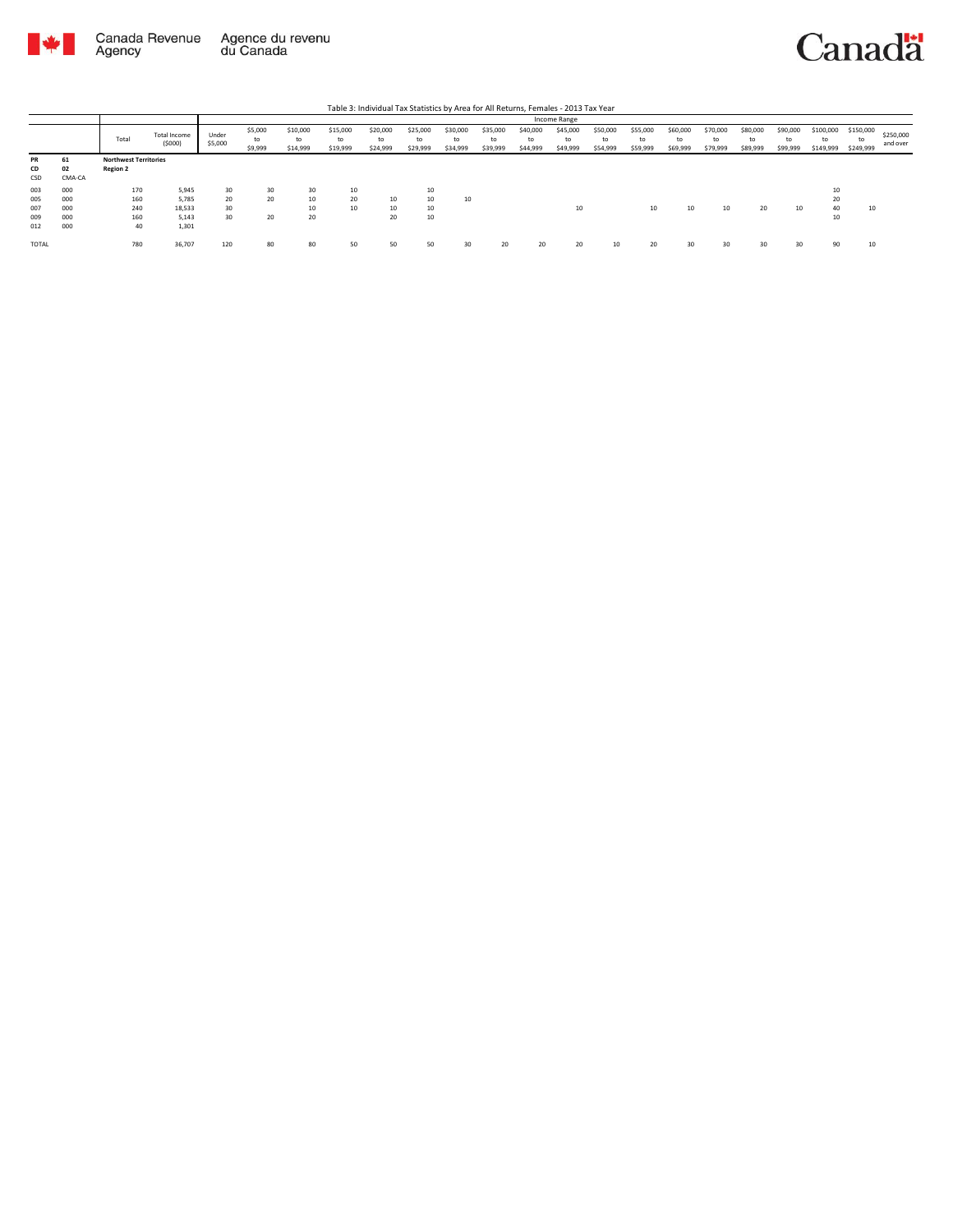

## Canadä

Table 3: Individual Tax Statistics by Area for All Returns, Females - 2013 Tax Year

|              |        |                              |                               |                  |                          |                            |                            |                            |                            |                            |                            |                            | Income Range               |                            |                            |                            |                            |                            |                            |                              |                              |                       |
|--------------|--------|------------------------------|-------------------------------|------------------|--------------------------|----------------------------|----------------------------|----------------------------|----------------------------|----------------------------|----------------------------|----------------------------|----------------------------|----------------------------|----------------------------|----------------------------|----------------------------|----------------------------|----------------------------|------------------------------|------------------------------|-----------------------|
|              |        | Total                        | <b>Total Income</b><br>(5000) | Under<br>\$5,000 | \$5,000<br>to<br>\$9,999 | \$10,000<br>to<br>\$14,999 | \$15,000<br>to<br>\$19,999 | \$20,000<br>to<br>\$24,999 | \$25,000<br>to<br>\$29,999 | \$30,000<br>to<br>\$34,999 | \$35,000<br>to<br>\$39,999 | \$40,000<br>to<br>\$44,999 | \$45,000<br>to<br>\$49,999 | \$50,000<br>to<br>\$54,999 | \$55,000<br>to<br>\$59,999 | \$60,000<br>to<br>\$69,999 | \$70,000<br>to<br>\$79,999 | \$80,000<br>to<br>\$89,999 | \$90,000<br>to<br>\$99,999 | \$100,000<br>to<br>\$149,999 | \$150,000<br>to<br>\$249,999 | \$250,000<br>and over |
| <b>PR</b>    | 61     | <b>Northwest Territories</b> |                               |                  |                          |                            |                            |                            |                            |                            |                            |                            |                            |                            |                            |                            |                            |                            |                            |                              |                              |                       |
| CD           | 02     | <b>Region 2</b>              |                               |                  |                          |                            |                            |                            |                            |                            |                            |                            |                            |                            |                            |                            |                            |                            |                            |                              |                              |                       |
| CSD          | CMA-CA |                              |                               |                  |                          |                            |                            |                            |                            |                            |                            |                            |                            |                            |                            |                            |                            |                            |                            |                              |                              |                       |
| 003          | 000    | 170                          | 5,945                         | 30               | 30                       | 30                         | 10                         |                            | 10                         |                            |                            |                            |                            |                            |                            |                            |                            |                            |                            | 10                           |                              |                       |
| 005          | 000    | 160                          | 5,785                         | 20               | 20                       | 10                         | 20                         | 10                         | 10                         | 10                         |                            |                            |                            |                            |                            |                            |                            |                            |                            | 20                           |                              |                       |
| 007          | 000    | 240                          | 18,533                        | 30               |                          | 10                         | 10                         | 10                         | 10                         |                            |                            |                            | 10                         |                            | 10                         | 10                         | 10                         | 20                         | 10                         | 40                           | 10                           |                       |
| 009          | 000    | 160                          | 5.143                         | 30               | 20                       | 20                         |                            | 20                         | 10                         |                            |                            |                            |                            |                            |                            |                            |                            |                            |                            | 10                           |                              |                       |
| 012          | 000    | 40                           | 1,301                         |                  |                          |                            |                            |                            |                            |                            |                            |                            |                            |                            |                            |                            |                            |                            |                            |                              |                              |                       |
| <b>TOTAL</b> |        | 780                          | 36,707                        | 120              | 80                       | 80                         | 50                         | 50                         | 50                         | 30                         | 20                         | 20                         | 20                         | 10                         | 20                         | 30                         | 30                         | 30                         | 30                         | 90                           | 10                           |                       |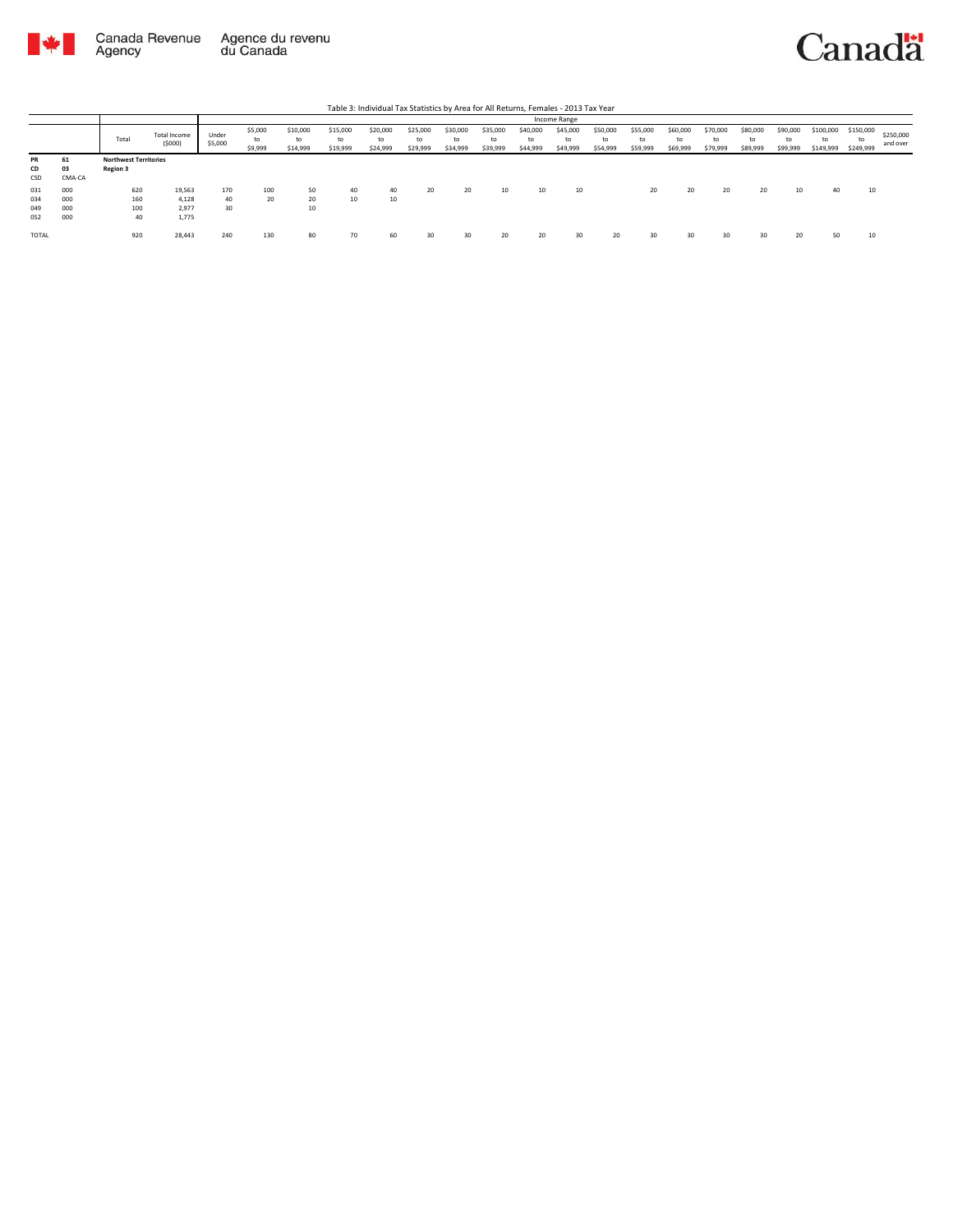



|                          |                          |                                                 |                                   |                  |                          |                            |                            |                            |                            |                            |                            |                            | Income Range               |                            |                            |                            |                            |                            |                            |                              |                              |                       |
|--------------------------|--------------------------|-------------------------------------------------|-----------------------------------|------------------|--------------------------|----------------------------|----------------------------|----------------------------|----------------------------|----------------------------|----------------------------|----------------------------|----------------------------|----------------------------|----------------------------|----------------------------|----------------------------|----------------------------|----------------------------|------------------------------|------------------------------|-----------------------|
|                          |                          | Total                                           | Total Income<br>(5000)            | Under<br>\$5,000 | \$5,000<br>to<br>\$9,999 | \$10,000<br>to<br>\$14,999 | \$15,000<br>to<br>\$19,999 | \$20,000<br>to<br>\$24,999 | \$25,000<br>to<br>\$29,999 | \$30,000<br>to<br>\$34,999 | \$35,000<br>to<br>\$39,999 | \$40,000<br>to<br>\$44,999 | \$45,000<br>to<br>\$49,999 | \$50,000<br>to<br>\$54,999 | \$55,000<br>to<br>\$59,999 | \$60,000<br>to<br>\$69,999 | \$70,000<br>to<br>\$79,999 | \$80,000<br>to<br>\$89,999 | \$90,000<br>to<br>\$99,999 | \$100,000<br>to<br>\$149,999 | \$150,000<br>to<br>\$249,999 | \$250,000<br>and over |
| <b>PR</b><br>CD<br>CSD   | 61<br>03<br>CMA-CA       | <b>Northwest Territories</b><br><b>Region 3</b> |                                   |                  |                          |                            |                            |                            |                            |                            |                            |                            |                            |                            |                            |                            |                            |                            |                            |                              |                              |                       |
| 031<br>034<br>049<br>052 | 000<br>000<br>000<br>000 | 620<br>160<br>100<br>40                         | 19,563<br>4,128<br>2.977<br>1,775 | 170<br>40<br>30  | 100<br>20                | 50<br>20<br>10             | 40<br>10                   | 40<br>10                   | 20                         | 20                         | 10                         | 10                         | 10                         |                            | 20                         | 20                         | 20                         | 20                         | 10                         | 40                           | 10                           |                       |
| TOTAL                    |                          | 920                                             | 28,443                            | 240              | 130                      | 80                         | 70                         | 60                         | 30                         | 30                         | 20                         | 20                         | 30                         | 20                         | 30                         | 30                         | 30                         | 30                         | 20                         | 50                           | 10                           |                       |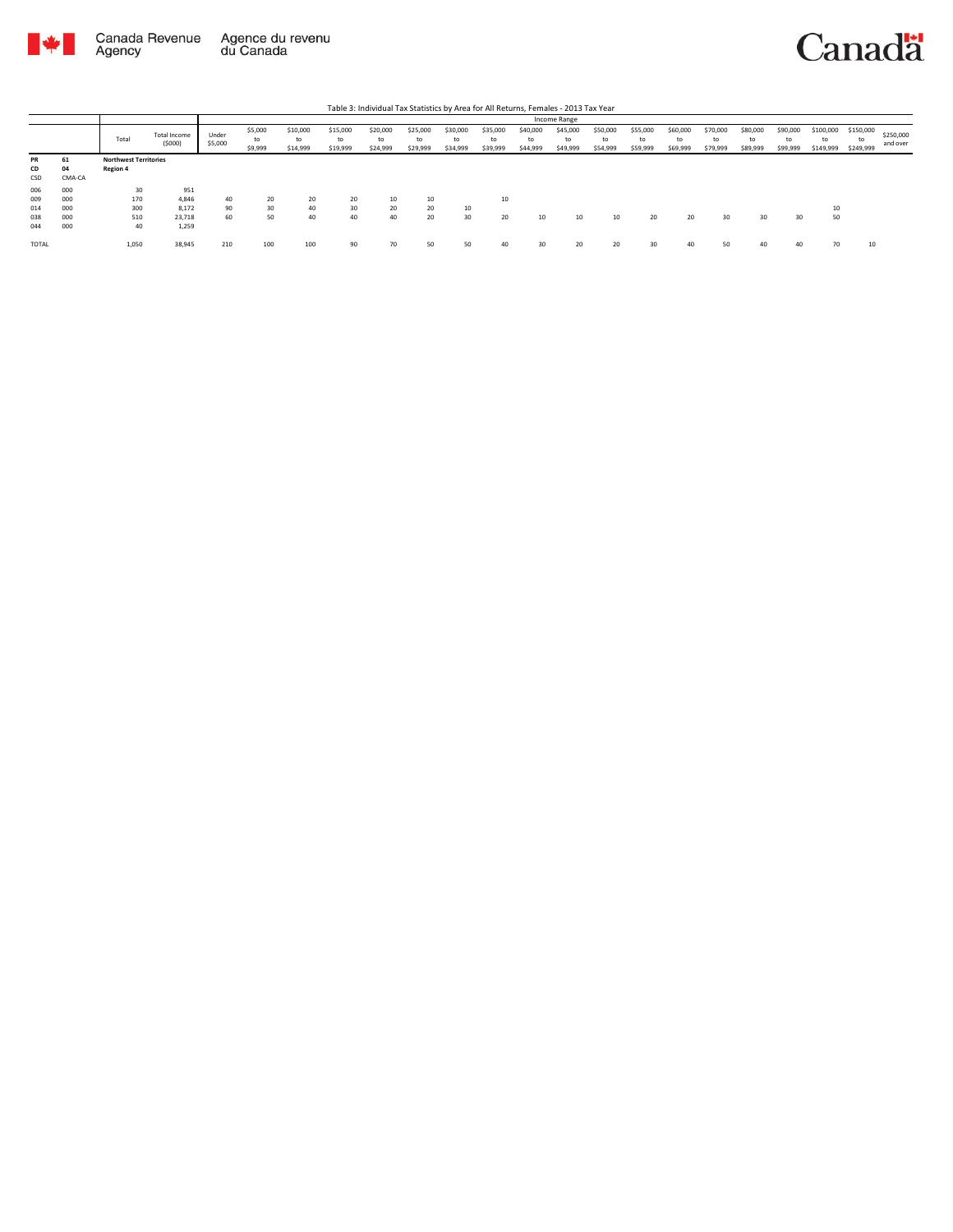

|                                 |                                 |                                          |                                          |                  |                          |                            |                            | Table 3: Individual Tax Statistics by Area for All Returns, Females - 2013 Tax Year |                            |                            |                            |                            |                            |                            |                            |                            |                            |                            |                            |                              |                              |                       |
|---------------------------------|---------------------------------|------------------------------------------|------------------------------------------|------------------|--------------------------|----------------------------|----------------------------|-------------------------------------------------------------------------------------|----------------------------|----------------------------|----------------------------|----------------------------|----------------------------|----------------------------|----------------------------|----------------------------|----------------------------|----------------------------|----------------------------|------------------------------|------------------------------|-----------------------|
|                                 |                                 |                                          |                                          |                  |                          |                            |                            |                                                                                     |                            |                            |                            |                            | Income Range               |                            |                            |                            |                            |                            |                            |                              |                              |                       |
|                                 |                                 | Total                                    | Total Income<br>(5000)                   | Under<br>\$5,000 | \$5,000<br>to<br>\$9,999 | \$10,000<br>to<br>\$14,999 | \$15,000<br>to<br>\$19,999 | \$20,000<br>to<br>\$24,999                                                          | \$25,000<br>to<br>\$29,999 | \$30,000<br>to<br>\$34,999 | \$35,000<br>to<br>\$39,999 | \$40,000<br>to<br>\$44,999 | \$45,000<br>to<br>\$49,999 | \$50,000<br>to<br>\$54,999 | \$55,000<br>to<br>\$59,999 | \$60,000<br>to<br>\$69,999 | \$70,000<br>to<br>\$79,999 | \$80,000<br>to<br>\$89,999 | \$90,000<br>to<br>\$99,999 | \$100,000<br>to<br>\$149,999 | \$150,000<br>to<br>\$249,999 | \$250,000<br>and over |
| <b>PR</b><br>CD<br>CSD          | 61<br>04<br>CMA-CA              | <b>Northwest Territories</b><br>Region 4 |                                          |                  |                          |                            |                            |                                                                                     |                            |                            |                            |                            |                            |                            |                            |                            |                            |                            |                            |                              |                              |                       |
| 006<br>009<br>014<br>038<br>044 | 000<br>000<br>000<br>000<br>000 | 30<br>170<br>300<br>510<br>40            | 951<br>4.846<br>8.172<br>23,718<br>1.259 | 40<br>90<br>60   | 20<br>30<br>50           | 20<br>40<br>40             | 20<br>30<br>40             | 10<br>20<br>40                                                                      | 10<br>20<br>20             | 10<br>30                   | 10<br>20                   | 10                         | 10                         | 10                         | 20                         | 20                         | 30                         | 30                         | 30                         | 10<br>50                     |                              |                       |
| TOTAL                           |                                 | 1,050                                    | 38,945                                   | 210              | 100                      | 100                        | 90                         | 70                                                                                  | 50                         | 50                         | 40                         | 30                         | 20                         | 20                         | 30                         | 40                         | 50                         | 40                         | 40                         | 70                           | 10                           |                       |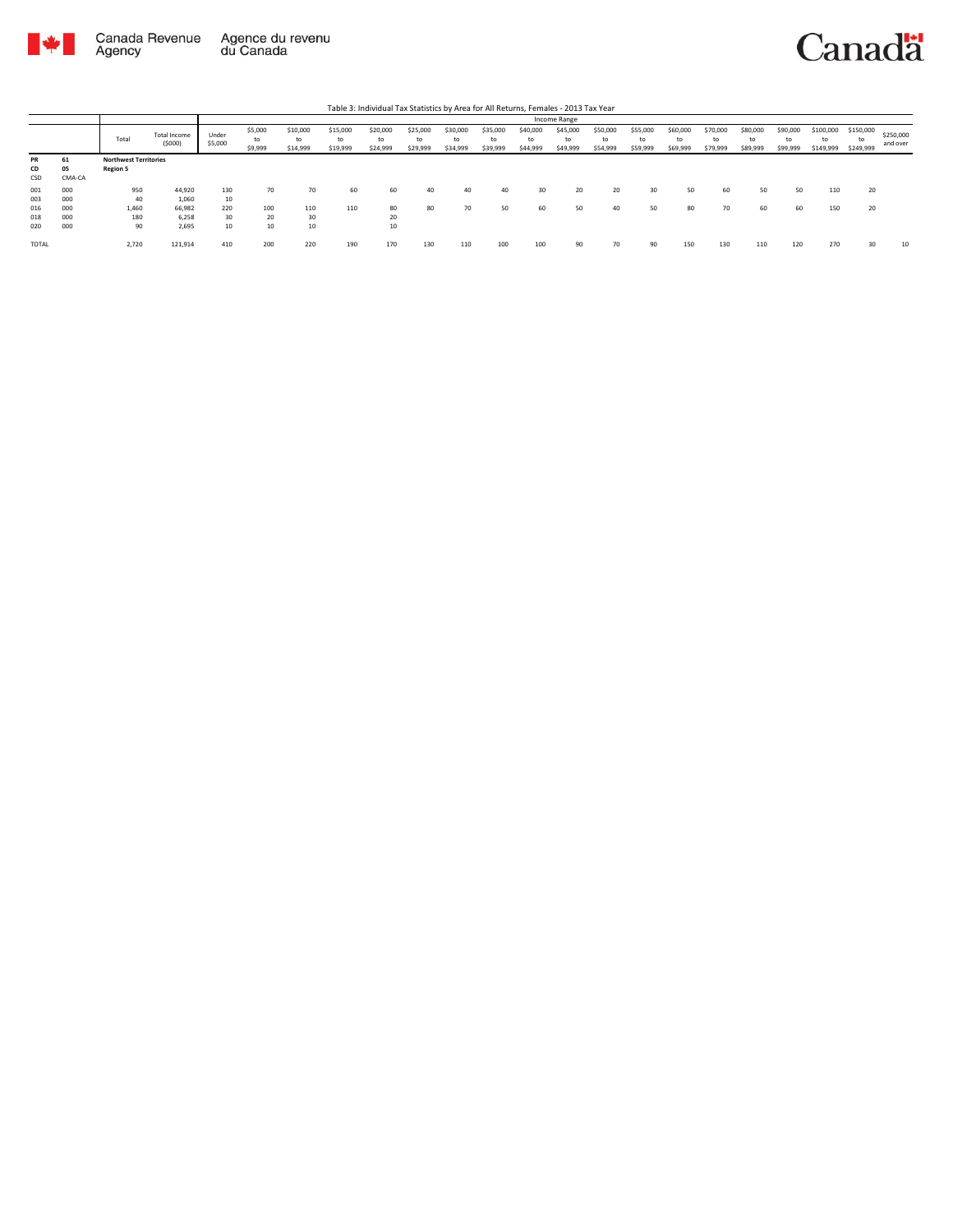

|                          |                          |                                                 |                                    |                        |                          |                            |                            | Table 3: Individual Tax Statistics by Area for All Returns, Females - 2013 Tax Year |                            |                            |                            |                            |                            |                            |                            |                            |                            |                            |                            |                              |                              |                       |
|--------------------------|--------------------------|-------------------------------------------------|------------------------------------|------------------------|--------------------------|----------------------------|----------------------------|-------------------------------------------------------------------------------------|----------------------------|----------------------------|----------------------------|----------------------------|----------------------------|----------------------------|----------------------------|----------------------------|----------------------------|----------------------------|----------------------------|------------------------------|------------------------------|-----------------------|
|                          |                          |                                                 |                                    |                        |                          |                            |                            |                                                                                     |                            |                            |                            |                            | Income Range               |                            |                            |                            |                            |                            |                            |                              |                              |                       |
|                          |                          | Total                                           | Total Income<br>(5000)             | Under<br>\$5,000       | \$5,000<br>to<br>\$9,999 | \$10,000<br>to<br>\$14,999 | \$15,000<br>to<br>\$19,999 | \$20,000<br>to<br>\$24,999                                                          | \$25,000<br>to<br>\$29,999 | \$30,000<br>to<br>\$34,999 | \$35,000<br>to<br>\$39,999 | \$40,000<br>to<br>\$44,999 | \$45,000<br>to<br>\$49,999 | \$50,000<br>to<br>\$54,999 | \$55,000<br>to<br>\$59,999 | \$60,000<br>to<br>\$69,999 | \$70,000<br>to<br>\$79,999 | \$80,000<br>to<br>\$89,999 | \$90,000<br>to<br>\$99,999 | \$100,000<br>to<br>\$149,999 | \$150,000<br>to<br>\$249,999 | \$250,000<br>and over |
| <b>PR</b><br>CD<br>CSD   | 61<br>05<br>CMA-CA       | <b>Northwest Territories</b><br><b>Region 5</b> |                                    |                        |                          |                            |                            |                                                                                     |                            |                            |                            |                            |                            |                            |                            |                            |                            |                            |                            |                              |                              |                       |
| 001<br>003<br>016<br>018 | 000<br>000<br>000<br>000 | 950<br>40<br>1.460<br>180                       | 44.920<br>1.060<br>66.982<br>6.258 | 130<br>10<br>220<br>30 | 70<br>100<br>20          | 70<br>110<br>30            | 60<br>110                  | 60<br>80<br>20                                                                      | 40<br>80                   | 40<br>70                   | 40<br>50                   | 30<br>60                   | 20<br>50                   | 20<br>40                   | 30<br>50                   | 50<br>80                   | 60<br>70                   | 50<br>60                   | 50<br>60                   | 110<br>150                   | 20<br>20                     |                       |
| 020<br><b>TOTAL</b>      | 000                      | 90<br>2,720                                     | 2.695<br>121,914                   | 10<br>410              | 10<br>200                | 10<br>220                  | 190                        | 10<br>170                                                                           | 130                        | 110                        | 100                        | 100                        | 90                         | 70                         | 90                         | 150                        | 130                        | 110                        | 120                        | 270                          | 30                           | 10                    |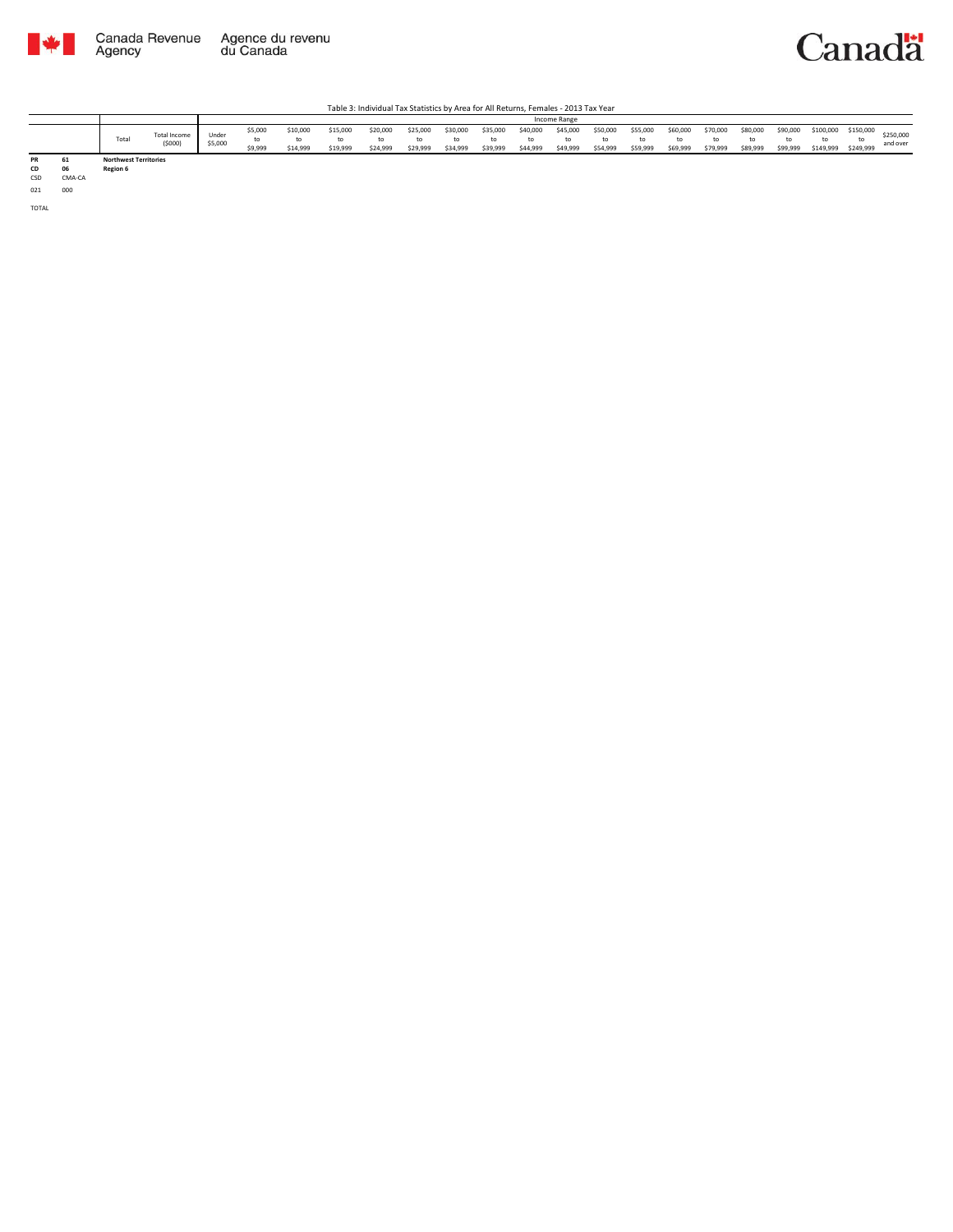



|    |                              |                        |                  |                    |                      |                      |                      |                      |                      |                      |                      | Income Range         |                      |                      |                      |                      |                      |                            |                        |                        |                       |
|----|------------------------------|------------------------|------------------|--------------------|----------------------|----------------------|----------------------|----------------------|----------------------|----------------------|----------------------|----------------------|----------------------|----------------------|----------------------|----------------------|----------------------|----------------------------|------------------------|------------------------|-----------------------|
|    | Total                        | Total Income<br>(5000) | Under<br>\$5,000 | \$5,000<br>\$9,999 | \$10,000<br>\$14,999 | \$15,000<br>\$19,999 | \$20,000<br>\$24,999 | \$25,000<br>\$29,999 | \$30,000<br>\$34,999 | \$35,000<br>\$39,999 | \$40,000<br>\$44,999 | \$45,000<br>\$49,999 | \$50,000<br>\$54,999 | \$55,000<br>\$59,999 | \$60,000<br>\$69,999 | \$70,000<br>\$79,999 | \$80,000<br>\$89,999 | \$90,000<br>to<br>\$99,999 | \$100,000<br>\$149,999 | \$150,000<br>\$249,999 | \$250,000<br>and over |
| PR | <b>Northwest Territories</b> |                        |                  |                    |                      |                      |                      |                      |                      |                      |                      |                      |                      |                      |                      |                      |                      |                            |                        |                        |                       |

**CD** 06 **Region 6**<br> **CSD** CMA-CA **CD 06 Region 6** CSD CMA-CA

021 000

TOTAL